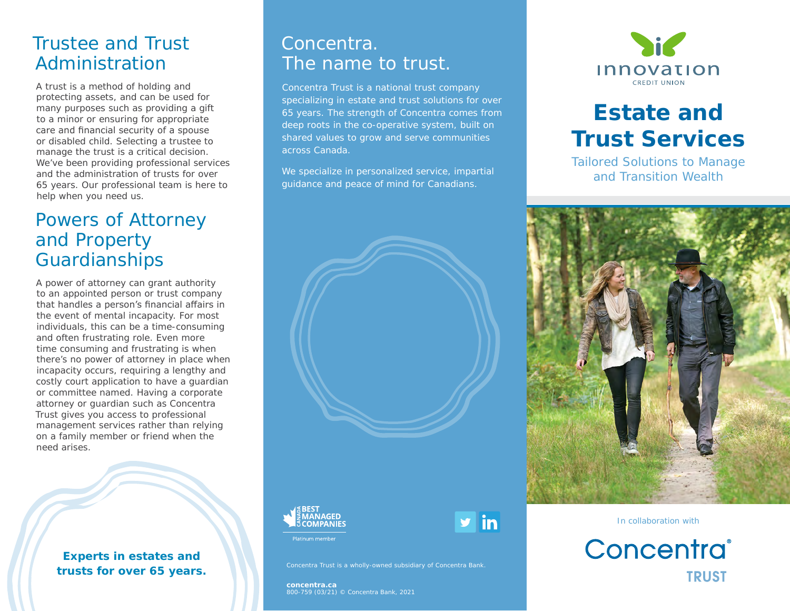# Trustee and Trust Administration

A trust is a method of holding and protecting assets, and can be used for many purposes such as providing a gift to a minor or ensuring for appropriate care and financial security of a spouse or disabled child. Selecting a trustee to manage the trust is a critical decision. We've been providing professional services and the administration of trusts for over 65 years. Our professional team is here to help when you need us.

# Powers of Attorney and Property Guardianships

A power of attorney can grant authority to an appointed person or trust company that handles a person's financial affairs in the event of mental incapacity. For most individuals, this can be a time-consuming and often frustrating role. Even more time consuming and frustrating is when there's no power of attorney in place when incapacity occurs, requiring a lengthy and costly court application to have a guardian or committee named. Having a corporate attorney or guardian such as Concentra Trust gives you access to professional management services rather than relying on a family member or friend when the need arises.

> **Experts in estates and trusts for over 65 years.**

### Concentra. The name to trust.

Concentra Trust is a national trust company specializing in estate and trust solutions for over 65 years. The strength of Concentra comes from deep roots in the co-operative system, built on shared values to grow and serve communities across Canada.

We specialize in personalized service, impartial guidance and peace of mind for Canadians.





y in

**Side Innovation CREDIT UNION** 

# **Estate and Trust Services**

Tailored Solutions to Manage and Transition Wealth







**concentra.ca** 800-759 (03/21) © Concentra Bank, 2021

Concentra Trust is a wholly-owned subsidiary of Concentra Bank.